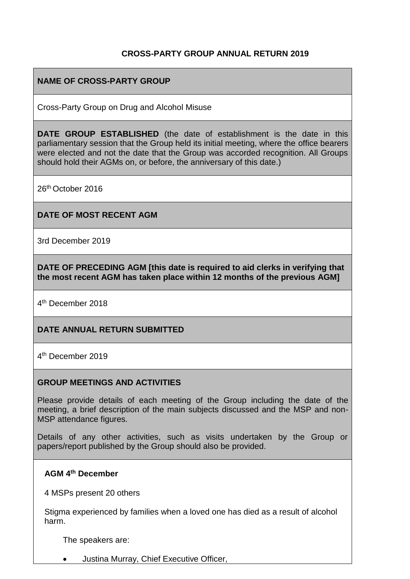### **CROSS-PARTY GROUP ANNUAL RETURN 2019**

### **NAME OF CROSS-PARTY GROUP**

Cross-Party Group on Drug and Alcohol Misuse

**DATE GROUP ESTABLISHED** (the date of establishment is the date in this parliamentary session that the Group held its initial meeting, where the office bearers were elected and not the date that the Group was accorded recognition. All Groups should hold their AGMs on, or before, the anniversary of this date.)

26th October 2016

#### **DATE OF MOST RECENT AGM**

3rd December 2019

**DATE OF PRECEDING AGM [this date is required to aid clerks in verifying that the most recent AGM has taken place within 12 months of the previous AGM]**

4<sup>th</sup> December 2018

#### **DATE ANNUAL RETURN SUBMITTED**

4 th December 2019

#### **GROUP MEETINGS AND ACTIVITIES**

Please provide details of each meeting of the Group including the date of the meeting, a brief description of the main subjects discussed and the MSP and non-MSP attendance figures.

Details of any other activities, such as visits undertaken by the Group or papers/report published by the Group should also be provided.

#### **AGM 4th December**

4 MSPs present 20 others

Stigma experienced by families when a loved one has died as a result of alcohol harm.

The speakers are:

• Justina Murray, Chief Executive Officer,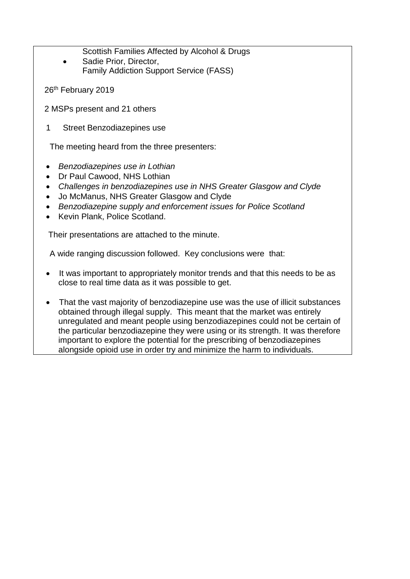Scottish Families Affected by Alcohol & Drugs

- Sadie Prior, Director, Family Addiction Support Service (FASS)
- 26<sup>th</sup> February 2019
- 2 MSPs present and 21 others
- 1 Street Benzodiazepines use

The meeting heard from the three presenters:

- *Benzodiazepines use in Lothian*
- Dr Paul Cawood, NHS Lothian
- *Challenges in benzodiazepines use in NHS Greater Glasgow and Clyde*
- Jo McManus, NHS Greater Glasgow and Clyde
- *Benzodiazepine supply and enforcement issues for Police Scotland*
- Kevin Plank, Police Scotland.

Their presentations are attached to the minute.

A wide ranging discussion followed. Key conclusions were that:

- It was important to appropriately monitor trends and that this needs to be as close to real time data as it was possible to get.
- That the vast majority of benzodiazepine use was the use of illicit substances obtained through illegal supply. This meant that the market was entirely unregulated and meant people using benzodiazepines could not be certain of the particular benzodiazepine they were using or its strength. It was therefore important to explore the potential for the prescribing of benzodiazepines alongside opioid use in order try and minimize the harm to individuals.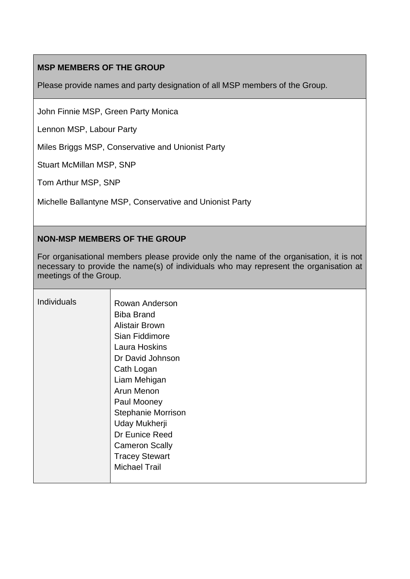### **MSP MEMBERS OF THE GROUP**

Please provide names and party designation of all MSP members of the Group.

John Finnie MSP, Green Party Monica

Lennon MSP, Labour Party

Miles Briggs MSP, Conservative and Unionist Party

Stuart McMillan MSP, SNP

Tom Arthur MSP, SNP

Michelle Ballantyne MSP, Conservative and Unionist Party

### **NON-MSP MEMBERS OF THE GROUP**

For organisational members please provide only the name of the organisation, it is not necessary to provide the name(s) of individuals who may represent the organisation at meetings of the Group.

| <b>Individuals</b> | Rowan Anderson            |
|--------------------|---------------------------|
|                    | <b>Biba Brand</b>         |
|                    | <b>Alistair Brown</b>     |
|                    | Sian Fiddimore            |
|                    | <b>Laura Hoskins</b>      |
|                    | Dr David Johnson          |
|                    | Cath Logan                |
|                    | Liam Mehigan              |
|                    | Arun Menon                |
|                    | Paul Mooney               |
|                    | <b>Stephanie Morrison</b> |
|                    | Uday Mukherji             |
|                    | Dr Eunice Reed            |
|                    | <b>Cameron Scally</b>     |
|                    | <b>Tracey Stewart</b>     |
|                    | <b>Michael Trail</b>      |
|                    |                           |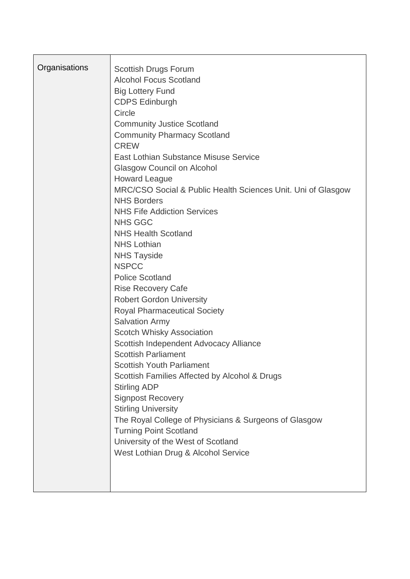| Organisations | <b>Scottish Drugs Forum</b><br><b>Alcohol Focus Scotland</b><br><b>Big Lottery Fund</b><br><b>CDPS Edinburgh</b><br>Circle<br><b>Community Justice Scotland</b><br><b>Community Pharmacy Scotland</b><br><b>CREW</b><br>East Lothian Substance Misuse Service<br><b>Glasgow Council on Alcohol</b><br><b>Howard League</b><br>MRC/CSO Social & Public Health Sciences Unit. Uni of Glasgow<br><b>NHS Borders</b><br><b>NHS Fife Addiction Services</b><br><b>NHS GGC</b><br><b>NHS Health Scotland</b><br><b>NHS Lothian</b><br><b>NHS Tayside</b><br><b>NSPCC</b><br><b>Police Scotland</b><br><b>Rise Recovery Cafe</b><br><b>Robert Gordon University</b><br><b>Royal Pharmaceutical Society</b><br><b>Salvation Army</b><br><b>Scotch Whisky Association</b><br>Scottish Independent Advocacy Alliance<br><b>Scottish Parliament</b><br><b>Scottish Youth Parliament</b><br>Scottish Families Affected by Alcohol & Drugs<br><b>Stirling ADP</b><br><b>Signpost Recovery</b><br><b>Stirling University</b><br>The Royal College of Physicians & Surgeons of Glasgow<br><b>Turning Point Scotland</b><br>University of the West of Scotland<br>West Lothian Drug & Alcohol Service |
|---------------|---------------------------------------------------------------------------------------------------------------------------------------------------------------------------------------------------------------------------------------------------------------------------------------------------------------------------------------------------------------------------------------------------------------------------------------------------------------------------------------------------------------------------------------------------------------------------------------------------------------------------------------------------------------------------------------------------------------------------------------------------------------------------------------------------------------------------------------------------------------------------------------------------------------------------------------------------------------------------------------------------------------------------------------------------------------------------------------------------------------------------------------------------------------------------------------|
|               |                                                                                                                                                                                                                                                                                                                                                                                                                                                                                                                                                                                                                                                                                                                                                                                                                                                                                                                                                                                                                                                                                                                                                                                       |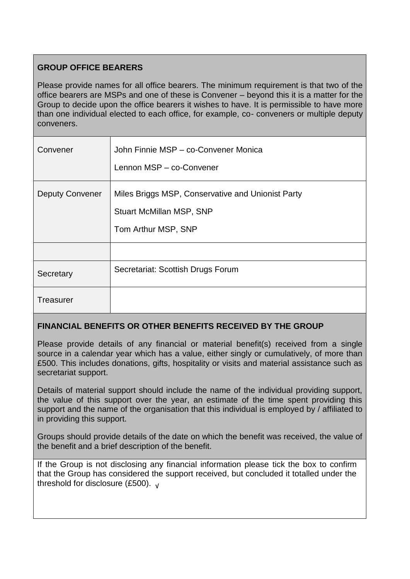### **GROUP OFFICE BEARERS**

Please provide names for all office bearers. The minimum requirement is that two of the office bearers are MSPs and one of these is Convener – beyond this it is a matter for the Group to decide upon the office bearers it wishes to have. It is permissible to have more than one individual elected to each office, for example, co- conveners or multiple deputy conveners.

| Convener               | John Finnie MSP - co-Convener Monica<br>Lennon MSP - co-Convener                                            |
|------------------------|-------------------------------------------------------------------------------------------------------------|
| <b>Deputy Convener</b> | Miles Briggs MSP, Conservative and Unionist Party<br><b>Stuart McMillan MSP, SNP</b><br>Tom Arthur MSP, SNP |
|                        |                                                                                                             |
| Secretary              | Secretariat: Scottish Drugs Forum                                                                           |
| <b>Treasurer</b>       |                                                                                                             |

## **FINANCIAL BENEFITS OR OTHER BENEFITS RECEIVED BY THE GROUP**

Please provide details of any financial or material benefit(s) received from a single source in a calendar year which has a value, either singly or cumulatively, of more than £500. This includes donations, gifts, hospitality or visits and material assistance such as secretariat support.

Details of material support should include the name of the individual providing support, the value of this support over the year, an estimate of the time spent providing this support and the name of the organisation that this individual is employed by / affiliated to in providing this support.

Groups should provide details of the date on which the benefit was received, the value of the benefit and a brief description of the benefit.

If the Group is not disclosing any financial information please tick the box to confirm that the Group has considered the support received, but concluded it totalled under the threshold for disclosure (£500). <sup>√</sup>